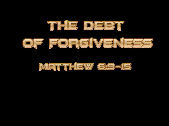



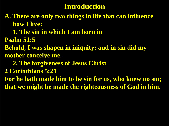**A. There are only two things in life that can influence how I live:** 

 **1. The sin in which I am born in**

**Psalm 51:5** 

**Behold, I was shapen in iniquity; and in sin did my mother conceive me.**

 **2. The forgiveness of Jesus Christ** 

**2 Corinthians 5:21**

**For he hath made him to be sin for us, who knew no sin; that we might be made the righteousness of God in him.**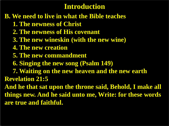### **B. We need to live in what the Bible teaches**

- **1. The newness of Christ**
- **2. The newness of His covenant**
- **3. The new wineskin (with the new wine)**
- **4. The new creation**
- **5. The new commandment**
- **6. Singing the new song (Psalm 149)**
- **7. Waiting on the new heaven and the new earth Revelation 21:5**

**And he that sat upon the throne said, Behold, I make all things new. And he said unto me, Write: for these words are true and faithful.**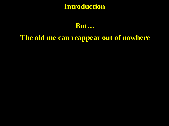**But…**

# **The old me can reappear out of nowhere**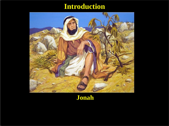

#### **Jonah**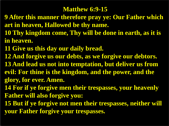#### **Matthew 6:9-15**

- **9 After this manner therefore pray ye: Our Father which art in heaven, Hallowed be thy name.**
- **10 Thy kingdom come, Thy will be done in earth, as it is in heaven.**
- **11 Give us this day our daily bread.**
- **12 And forgive us our debts, as we forgive our debtors.**
- **13 And lead us not into temptation, but deliver us from evil: For thine is the kingdom, and the power, and the glory, for ever. Amen.**
- **14 For if ye forgive men their trespasses, your heavenly Father will also forgive you:**
- **15 But if ye forgive not men their trespasses, neither will your Father forgive your trespasses.**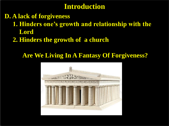- **D. A lack of forgiveness**
	- **1. Hinders one's growth and relationship with the Lord**
	- **2. Hinders the growth of a church**

## **Are We Living In A Fantasy Of Forgiveness?**

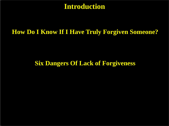#### **How Do I Know If I Have Truly Forgiven Someone?**

#### **Six Dangers Of Lack of Forgiveness**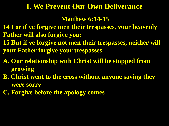### **I. We Prevent Our Own Deliverance**

#### **Matthew 6:14-15**

- **14 For if ye forgive men their trespasses, your heavenly Father will also forgive you:**
- **15 But if ye forgive not men their trespasses, neither will your Father forgive your trespasses.**
- **A. Our relationship with Christ will be stopped from growing**
- **B. Christ went to the cross without anyone saying they were sorry**
- **C. Forgive before the apology comes**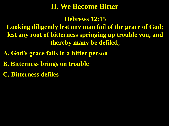# **II. We Become Bitter**

**Hebrews 12:15**

**Looking diligently lest any man fail of the grace of God; lest any root of bitterness springing up trouble you, and thereby many be defiled;**

**A. God's grace fails in a bitter person**

**B. Bitterness brings on trouble** 

**C. Bitterness defiles**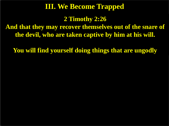# **III. We Become Trapped**

**2 Timothy 2:26**

**And that they may recover themselves out of the snare of the devil, who are taken captive by him at his will.**

**You will find yourself doing things that are ungodly**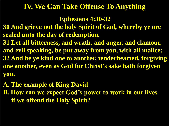# **IV. We Can Take Offense To Anything**

**Ephesians 4:30-32**

- **30 And grieve not the holy Spirit of God, whereby ye are sealed unto the day of redemption.**
- **31 Let all bitterness, and wrath, and anger, and clamour, and evil speaking, be put away from you, with all malice: 32 And be ye kind one to another, tenderhearted, forgiving one another, even as God for Christ's sake hath forgiven you.**
- **A. The example of King David**
- **B. How can we expect God's power to work in our lives if we offend the Holy Spirit?**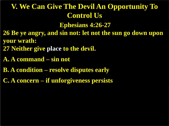# **V. We Can Give The Devil An Opportunity To Control Us**

**Ephesians 4:26-27**

- **26 Be ye angry, and sin not: let not the sun go down upon your wrath:**
- **27 Neither give place to the devil.**
- **A. A command – sin not**
- **B. A condition – resolve disputes early**
- **C. A concern – if unforgiveness persists**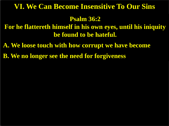### **VI. We Can Become Insensitive To Our Sins**

#### **Psalm 36:2**

**For he flattereth himself in his own eyes, until his iniquity be found to be hateful.**

**A. We loose touch with how corrupt we have become**

**B. We no longer see the need for forgiveness**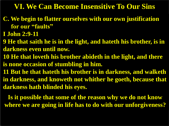# **VI. We Can Become Insensitive To Our Sins**

- **C. We begin to flatter ourselves with our own justification for our "faults"**
- **I John 2:9-11**
- **9 He that saith he is in the light, and hateth his brother, is in darkness even until now.**
- **10 He that loveth his brother abideth in the light, and there is none occasion of stumbling in him.**
- **11 But he that hateth his brother is in darkness, and walketh in darkness, and knoweth not whither he goeth, because that darkness hath blinded his eyes.**

**Is it possible that some of the reason why we do not know where we are going in life has to do with our unforgiveness?**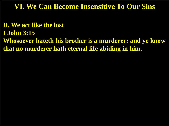## **VI. We Can Become Insensitive To Our Sins**

- **D. We act like the lost**
- **I John 3:15**
- **Whosoever hateth his brother is a murderer: and ye know that no murderer hath eternal life abiding in him.**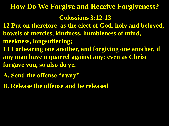# **Colossians 3:12-13 How Do We Forgive and Receive Forgiveness?**

- **12 Put on therefore, as the elect of God, holy and beloved, bowels of mercies, kindness, humbleness of mind, meekness, longsuffering;**
- **13 Forbearing one another, and forgiving one another, if any man have a quarrel against any: even as Christ forgave you, so also do ye.**
- **A. Send the offense "away"**
- **B. Release the offense and be released**